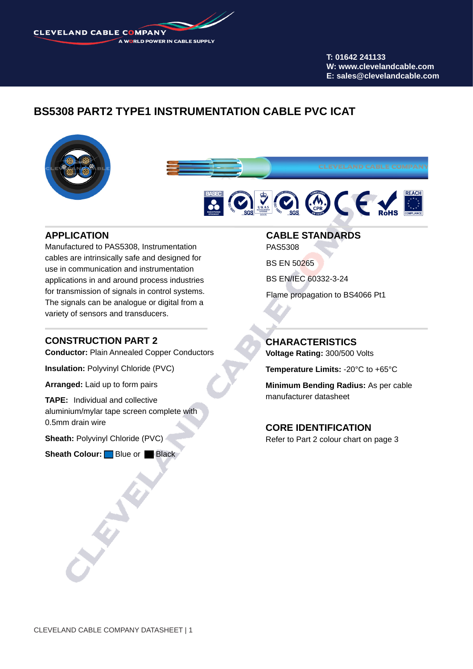**CLEVELAND CABLE COMPANY** A WORLD POWER IN CABLE SUPPLY

> **T: 01642 241133 W: www.clevelandcable.com E: sales@clevelandcable.com**

# **BS5308 PART2 TYPE1 INSTRUMENTATION CABLE PVC ICAT**







## **APPLICATION**

Manufactured to PAS5308, Instrumentation cables are intrinsically safe and designed for use in communication and instrumentation applications in and around process industries for transmission of signals in control systems. The signals can be analogue or digital from a variety of sensors and transducers.

## **CONSTRUCTION PART 2**

**Conductor:** Plain Annealed Copper Conductors

**Insulation:** Polyvinyl Chloride (PVC)

**Arranged:** Laid up to form pairs

**TAPE:** Individual and collective aluminium/mylar tape screen complete with 0.5mm drain wire

**Sheath:** Polyvinyl Chloride (PVC)

**Sheath Colour:** Blue or Black

## **CABLE STANDARDS**

PAS5308

BS EN 50265

BS EN/IEC 60332-3-24

Flame propagation to BS4066 Pt1

## **CHARACTERISTICS**

**Voltage Rating:** 300/500 Volts

**Temperature Limits:** -20°C to +65°C

**Minimum Bending Radius:** As per cable manufacturer datasheet

#### **CORE IDENTIFICATION**

Refer to Part 2 colour chart on page 3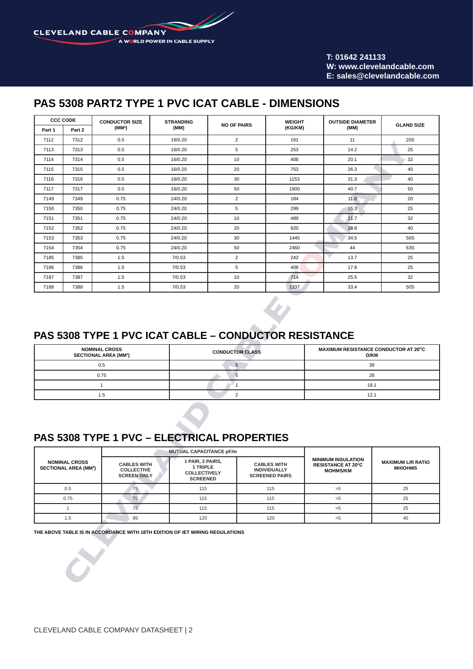D **CLEVELAND CABLE COMPANY** A WORLD POWER IN CABLE SUPPLY

> **T: 01642 241133 W: www.clevelandcable.com E: sales@clevelandcable.com**

# **PAS 5308 PART2 TYPE 1 PVC ICAT CABLE - DIMENSIONS**

| <b>CCC CODE</b> |        | <b>CONDUCTOR SIZE</b> | <b>STRANDING</b> | <b>NO OF PAIRS</b> | <b>WEIGHT</b> | <b>OUTSIDE DIAMETER</b> | <b>GLAND SIZE</b> |
|-----------------|--------|-----------------------|------------------|--------------------|---------------|-------------------------|-------------------|
| Part 1          | Part 2 | (MM <sup>2</sup> )    | (MM)             |                    | (KG/KM)       | (MM)                    |                   |
| 7112            | 7312   | 0.5                   | 16/0.20          | $\overline{2}$     | 161           | 11                      | 20S               |
| 7113            | 7313   | 0.5                   | 16/0.20          | 5                  | 253           | 14.2                    | 25                |
| 7114            | 7314   | 0.5                   | 16/0.20          | 10                 | 408           | 20.1                    | 32                |
| 7115            | 7315   | 0.5                   | 16/0.20          | 20                 | 753           | 26.3                    | 40                |
| 7116            | 7316   | 0.5                   | 16/0.20          | 30                 | 1153          | 31.3                    | 40                |
| 7117            | 7317   | 0.5                   | 16/0.20          | 50                 | 1900          | 40.7                    | 50                |
| 7149            | 7349   | 0.75                  | 24/0.20          | $\overline{2}$     | 184           | 11.8                    | 20                |
| 7150            | 7350   | 0.75                  | 24/0.20          | 5                  | 299           | 15.3                    | 25                |
| 7151            | 7351   | 0.75                  | 24/0.20          | 10                 | 489           | 21.7                    | 32                |
| 7152            | 7352   | 0.75                  | 24/0.20          | 20                 | 920           | 28.8                    | 40                |
| 7153            | 7353   | 0.75                  | 24/0.20          | 30                 | 1445          | 34.5                    | <b>50S</b>        |
| 7154            | 7354   | 0.75                  | 24/0.20          | 50                 | 2460          | 44                      | 63S               |
| 7185            | 7385   | 1.5                   | 7/0.53           | $\overline{2}$     | 242           | 13.7                    | 25                |
| 7186            | 7386   | 1.5                   | 7/0.53           | 5                  | 408           | 17.8                    | 25                |
| 7187            | 7387   | 1.5                   | 7/0.53           | 10                 | 714           | 25.5                    | 32                |
| 7188            | 7388   | 1.5                   | 7/0.53           | 20                 | 1337          | 33.4                    | 50S               |

## **PAS 5308 TYPE 1 PVC ICAT CABLE – CONDUCTOR RESISTANCE**

| <b>NOMINAL CROSS</b><br><b>SECTIONAL AREA (MM2)</b> | <b>CONDUCTOR CLASS</b> | MAXIMUM RESISTANCE CONDUCTOR AT 20°C<br>Ω/ΚΜ |  |
|-----------------------------------------------------|------------------------|----------------------------------------------|--|
| 0.5                                                 |                        | 39                                           |  |
| 0.75                                                |                        | 26                                           |  |
|                                                     |                        | 18.1                                         |  |
| 1.5                                                 |                        | 12.1                                         |  |

# **PAS 5308 TYPE 1 PVC – ELECTRICAL PROPERTIES**

|                                                     |                                                                                                                                                                                                               | <b>MUTUAL CAPACITANCE pF/m</b> |                                                                           |                                            |    |
|-----------------------------------------------------|---------------------------------------------------------------------------------------------------------------------------------------------------------------------------------------------------------------|--------------------------------|---------------------------------------------------------------------------|--------------------------------------------|----|
| <b>NOMINAL CROSS</b><br><b>SECTIONAL AREA (MM2)</b> | 1 PAIR, 2 PAIRS,<br><b>CABLES WITH</b><br><b>CABLES WITH</b><br>1 TRIPLE<br><b>COLLECTIVE</b><br><b>INDIVIDUALLY</b><br><b>COLLECTIVELY</b><br><b>SCREEN ONLY</b><br><b>SCREENED PAIRS</b><br><b>SCREENED</b> |                                | <b>MINIMUM INSULATION</b><br><b>RESISTANCE AT 20°C</b><br><b>MOHMS/KM</b> | <b>MAXIMUM L/R RATIO</b><br><b>MH/OHMS</b> |    |
| 0.5                                                 | 75                                                                                                                                                                                                            | 115                            | 115                                                                       | >5                                         | 25 |
| 0.75                                                | 75                                                                                                                                                                                                            | 115                            | 115                                                                       | >5                                         | 25 |
|                                                     |                                                                                                                                                                                                               | 115                            | 115                                                                       | >5                                         | 25 |
| 1.5                                                 | 85                                                                                                                                                                                                            | 120                            | 120                                                                       | >5                                         | 40 |

**THE ABOVE TABLE IS IN ACCORDANCE WITH 18TH EDITION OF IET WIRING REGULATIONS**